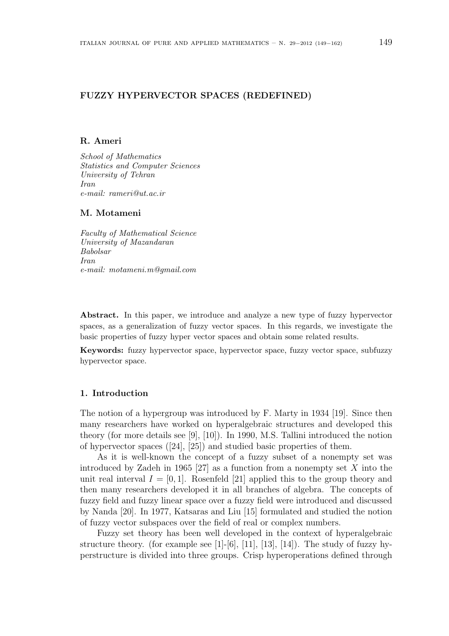## FUZZY HYPERVECTOR SPACES (REDEFINED)

## R. Ameri

School of Mathematics Statistics and Computer Sciences University of Tehran Iran e-mail: rameri@ut.ac.ir

## M. Motameni

Faculty of Mathematical Science University of Mazandaran Babolsar Iran e-mail: motameni.m@gmail.com

Abstract. In this paper, we introduce and analyze a new type of fuzzy hypervector spaces, as a generalization of fuzzy vector spaces. In this regards, we investigate the basic properties of fuzzy hyper vector spaces and obtain some related results.

Keywords: fuzzy hypervector space, hypervector space, fuzzy vector space, subfuzzy hypervector space.

## 1. Introduction

The notion of a hypergroup was introduced by F. Marty in 1934 [19]. Since then many researchers have worked on hyperalgebraic structures and developed this theory (for more details see [9], [10]). In 1990, M.S. Tallini introduced the notion of hypervector spaces ([24], [25]) and studied basic properties of them.

As it is well-known the concept of a fuzzy subset of a nonempty set was introduced by Zadeh in 1965 [27] as a function from a nonempty set  $X$  into the unit real interval  $I = [0, 1]$ . Rosenfeld [21] applied this to the group theory and then many researchers developed it in all branches of algebra. The concepts of fuzzy field and fuzzy linear space over a fuzzy field were introduced and discussed by Nanda [20]. In 1977, Katsaras and Liu [15] formulated and studied the notion of fuzzy vector subspaces over the field of real or complex numbers.

Fuzzy set theory has been well developed in the context of hyperalgebraic structure theory. (for example see [1]-[6], [11], [13], [14]). The study of fuzzy hyperstructure is divided into three groups. Crisp hyperoperations defined through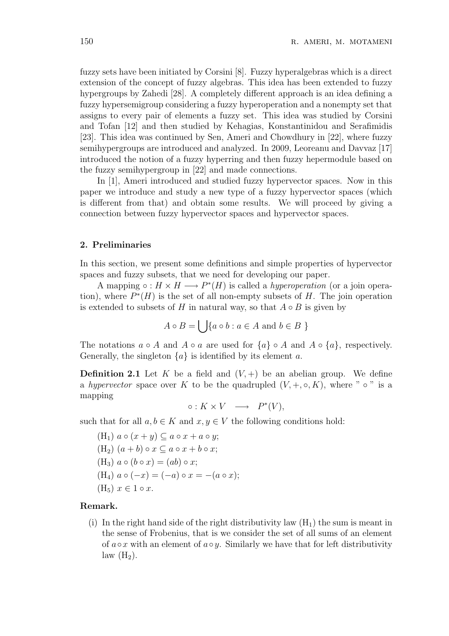fuzzy sets have been initiated by Corsini [8]. Fuzzy hyperalgebras which is a direct extension of the concept of fuzzy algebras. This idea has been extended to fuzzy hypergroups by Zahedi [28]. A completely different approach is an idea defining a fuzzy hypersemigroup considering a fuzzy hyperoperation and a nonempty set that assigns to every pair of elements a fuzzy set. This idea was studied by Corsini and Tofan [12] and then studied by Kehagias, Konstantinidou and Serafimidis [23]. This idea was continued by Sen, Ameri and Chowdhury in [22], where fuzzy semihypergroups are introduced and analyzed. In 2009, Leoreanu and Davvaz [17] introduced the notion of a fuzzy hyperring and then fuzzy hepermodule based on the fuzzy semihypergroup in [22] and made connections.

In [1], Ameri introduced and studied fuzzy hypervector spaces. Now in this paper we introduce and study a new type of a fuzzy hypervector spaces (which is different from that) and obtain some results. We will proceed by giving a connection between fuzzy hypervector spaces and hypervector spaces.

### 2. Preliminaries

In this section, we present some definitions and simple properties of hypervector spaces and fuzzy subsets, that we need for developing our paper.

A mapping  $\circ: H \times H \longrightarrow P^*(H)$  is called a *hyperoperation* (or a join operation), where  $P^*(H)$  is the set of all non-empty subsets of H. The join operation is extended to subsets of H in natural way, so that  $A \circ B$  is given by

$$
A \circ B = \bigcup \{ a \circ b : a \in A \text{ and } b \in B \}
$$

The notations  $a \circ A$  and  $A \circ a$  are used for  $\{a\} \circ A$  and  $A \circ \{a\}$ , respectively. Generally, the singleton  $\{a\}$  is identified by its element a.

**Definition 2.1** Let K be a field and  $(V,+)$  be an abelian group. We define a hypervector space over K to be the quadrupled  $(V, +, \circ, K)$ , where "  $\circ$  " is a mapping

 $\circ: K \times V \longrightarrow P^*(V),$ 

such that for all  $a, b \in K$  and  $x, y \in V$  the following conditions hold:

 $(H_1)$   $a \circ (x + y) \subseteq a \circ x + a \circ y;$  $(H_2)$   $(a + b) \circ x \subseteq a \circ x + b \circ x;$  $(H_3)$   $a \circ (b \circ x) = (ab) \circ x;$ (H<sub>4</sub>)  $a \circ (-x) = (-a) \circ x = -(a \circ x);$  $(H_5)$   $x \in 1 \circ x$ .

### Remark.

(i) In the right hand side of the right distributivity law  $(H_1)$  the sum is meant in the sense of Frobenius, that is we consider the set of all sums of an element of  $a \circ x$  with an element of  $a \circ y$ . Similarly we have that for left distributivity  $law(H_2)$ .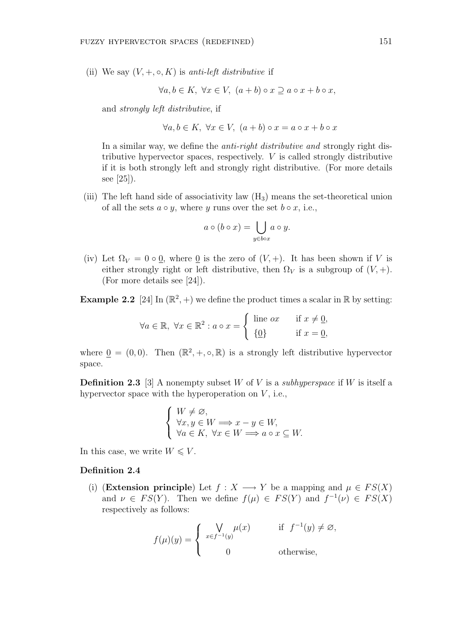(ii) We say  $(V, +, \circ, K)$  is anti-left distributive if

 $\forall a, b \in K, \ \forall x \in V, \ (a+b) \circ x \supset a \circ x + b \circ x,$ 

and strongly left distributive, if

 $\forall a, b \in K, \ \forall x \in V, \ (a+b) \circ x = a \circ x + b \circ x$ 

In a similar way, we define the *anti-right distributive and* strongly right distributive hypervector spaces, respectively. V is called strongly distributive if it is both strongly left and strongly right distributive. (For more details see [25]).

(iii) The left hand side of associativity law  $(H_3)$  means the set-theoretical union of all the sets  $a \circ y$ , where y runs over the set  $b \circ x$ , i.e.,

$$
a \circ (b \circ x) = \bigcup_{y \in box} a \circ y.
$$

(iv) Let  $\Omega_V = 0 \circ \underline{0}$ , where  $\underline{0}$  is the zero of  $(V, +)$ . It has been shown if V is either strongly right or left distributive, then  $\Omega_V$  is a subgroup of  $(V, +)$ . (For more details see [24]).

**Example 2.2** [24] In  $(\mathbb{R}^2, +)$  we define the product times a scalar in  $\mathbb{R}$  by setting:

$$
\forall a \in \mathbb{R}, \ \forall x \in \mathbb{R}^2 : a \circ x = \begin{cases} \text{ line } ax & \text{if } x \neq \underline{0}, \\ \{\underline{0}\} & \text{if } x = \underline{0}, \end{cases}
$$

where  $\underline{0} = (0,0)$ . Then  $(\mathbb{R}^2, +, \circ, \mathbb{R})$  is a strongly left distributive hypervector space.

**Definition 2.3** [3] A nonempty subset W of V is a *subhyperspace* if W is itself a hypervector space with the hyperoperation on  $V$ , i.e.,

$$
\begin{cases} W \neq \varnothing, \\ \forall x, y \in W \Longrightarrow x - y \in W, \\ \forall a \in K, \ \forall x \in W \Longrightarrow a \circ x \subseteq W. \end{cases}
$$

In this case, we write  $W \leq V$ .

#### Definition 2.4

(i) (Extension principle) Let  $f : X \longrightarrow Y$  be a mapping and  $\mu \in FS(X)$ and  $\nu \in FS(Y)$ . Then we define  $f(\mu) \in FS(Y)$  and  $f^{-1}(\nu) \in FS(X)$ respectively as follows:

$$
f(\mu)(y) = \begin{cases} \n\bigvee_{x \in f^{-1}(y)} \mu(x) & \text{if } f^{-1}(y) \neq \emptyset, \\ \n0 & \text{otherwise,} \n\end{cases}
$$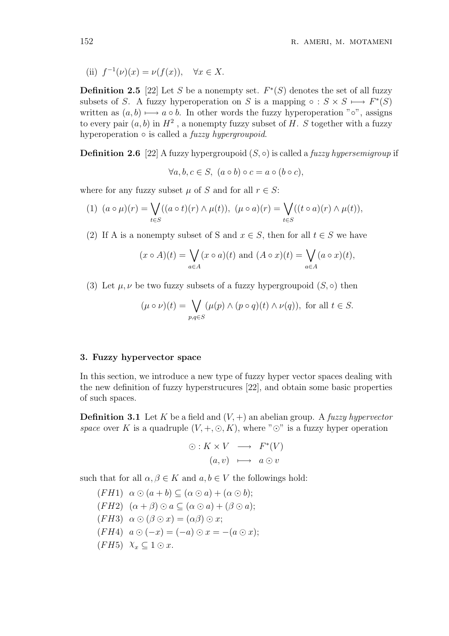(ii)  $f^{-1}(\nu)(x) = \nu(f(x)), \quad \forall x \in X.$ 

**Definition 2.5** [22] Let S be a nonempty set.  $F^*(S)$  denotes the set of all fuzzy subsets of S. A fuzzy hyperoperation on S is a mapping  $\circ : S \times S \longmapsto F^*(S)$ written as  $(a, b) \mapsto a \circ b$ . In other words the fuzzy hyperoperation "∘", assigns to every pair  $(a, b)$  in  $H^2$ , a nonempty fuzzy subset of H. S together with a fuzzy hyperoperation  $\circ$  is called a *fuzzy hypergroupoid*.

**Definition 2.6** [22] A fuzzy hypergroupoid  $(S, \circ)$  is called a *fuzzy hypersemigroup* if

$$
\forall a, b, c \in S, \ (a \circ b) \circ c = a \circ (b \circ c),
$$

where for any fuzzy subset  $\mu$  of S and for all  $r \in S$ :

(1) 
$$
(a \circ \mu)(r) = \bigvee_{t \in S} ((a \circ t)(r) \wedge \mu(t)), \ (\mu \circ a)(r) = \bigvee_{t \in S} ((t \circ a)(r) \wedge \mu(t)),
$$

(2) If A is a nonempty subset of S and  $x \in S$ , then for all  $t \in S$  we have

$$
(x \circ A)(t) = \bigvee_{a \in A} (x \circ a)(t)
$$
 and  $(A \circ x)(t) = \bigvee_{a \in A} (a \circ x)(t)$ ,

(3) Let  $\mu, \nu$  be two fuzzy subsets of a fuzzy hypergroupoid  $(S, \circ)$  then

$$
(\mu \circ \nu)(t) = \bigvee_{p,q \in S} (\mu(p) \land (p \circ q)(t) \land \nu(q)), \text{ for all } t \in S.
$$

### 3. Fuzzy hypervector space

In this section, we introduce a new type of fuzzy hyper vector spaces dealing with the new definition of fuzzy hyperstrucures [22], and obtain some basic properties of such spaces.

**Definition 3.1** Let K be a field and  $(V, +)$  an abelian group. A *fuzzy hypervector* space over K is a quadruple  $(V, +, \odot, K)$ , where " $\odot$ " is a fuzzy hyper operation

$$
\odot: K \times V \longrightarrow F^*(V)
$$
  
(a, v)  $\longmapsto a \odot v$ 

such that for all  $\alpha, \beta \in K$  and  $a, b \in V$  the followings hold:

 $(FH1) \alpha \odot (a+b) \subseteq (\alpha \odot a) + (\alpha \odot b);$  $(FH2)$   $(\alpha + \beta) \odot a \subseteq (\alpha \odot a) + (\beta \odot a);$  $(FH3) \alpha \odot (\beta \odot x) = (\alpha \beta) \odot x;$  $(FH4) \ \ a \odot (-x) = (-a) \odot x = -(a \odot x);$  $(FH5)$   $\chi_x \subseteq 1 \odot x$ .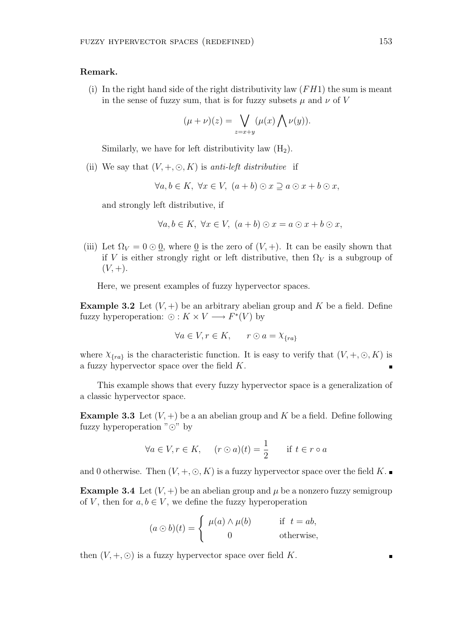## Remark.

(i) In the right hand side of the right distributivity law  $(FH1)$  the sum is meant in the sense of fuzzy sum, that is for fuzzy subsets  $\mu$  and  $\nu$  of V

$$
(\mu + \nu)(z) = \bigvee_{z=x+y} (\mu(x) \bigwedge \nu(y)).
$$

Similarly, we have for left distributivity law  $(H_2)$ .

(ii) We say that  $(V, +, \odot, K)$  is anti-left distributive if

$$
\forall a, b \in K, \ \forall x \in V, \ (a+b) \odot x \supseteq a \odot x + b \odot x,
$$

and strongly left distributive, if

$$
\forall a, b \in K, \ \forall x \in V, \ (a+b) \odot x = a \odot x + b \odot x,
$$

(iii) Let  $\Omega_V = 0 \odot 0$ , where 0 is the zero of  $(V, +)$ . It can be easily shown that if V is either strongly right or left distributive, then  $\Omega_V$  is a subgroup of  $(V, +)$ .

Here, we present examples of fuzzy hypervector spaces.

**Example 3.2** Let  $(V, +)$  be an arbitrary abelian group and K be a field. Define fuzzy hyperoperation:  $\odot: K \times V \longrightarrow F^*(V)$  by

$$
\forall a \in V, r \in K, \qquad r \odot a = \chi_{\{ra\}}
$$

where  $\chi_{\{ra\}}$  is the characteristic function. It is easy to verify that  $(V, +, \odot, K)$  is a fuzzy hypervector space over the field K.

This example shows that every fuzzy hypervector space is a generalization of a classic hypervector space.

**Example 3.3** Let  $(V, +)$  be a an abelian group and K be a field. Define following fuzzy hyperoperation " $\odot$ " by

$$
\forall a \in V, r \in K, \quad (r \odot a)(t) = \frac{1}{2} \quad \text{if } t \in r \circ a
$$

and 0 otherwise. Then  $(V, +, \odot, K)$  is a fuzzy hypervector space over the field K.

**Example 3.4** Let  $(V,+)$  be an abelian group and  $\mu$  be a nonzero fuzzy semigroup of V, then for  $a, b \in V$ , we define the fuzzy hyperoperation

$$
(a \odot b)(t) = \begin{cases} \mu(a) \wedge \mu(b) & \text{if } t = ab, \\ 0 & \text{otherwise,} \end{cases}
$$

then  $(V, +, \odot)$  is a fuzzy hypervector space over field K.

 $\blacksquare$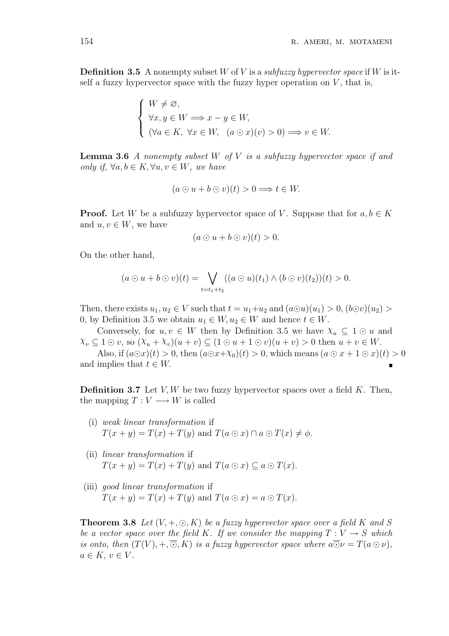**Definition 3.5** A nonempty subset W of V is a *subfuzzy hypervector space* if W is itself a fuzzy hypervector space with the fuzzy hyper operation on  $V$ , that is,

$$
\begin{cases} W \neq \varnothing, \\ \forall x, y \in W \Longrightarrow x - y \in W, \\ (\forall a \in K, \ \forall x \in W, \ \ (a \odot x)(v) > 0) \Longrightarrow v \in W. \end{cases}
$$

**Lemma 3.6** A nonempty subset W of V is a subfuzzy hypervector space if and only if,  $\forall a, b \in K, \forall u, v \in W$ , we have

$$
(a \odot u + b \odot v)(t) > 0 \Longrightarrow t \in W.
$$

**Proof.** Let W be a subfuzzy hypervector space of V. Suppose that for  $a, b \in K$ and  $u, v \in W$ , we have

$$
(a\odot u + b\odot v)(t) > 0.
$$

On the other hand,

$$
(a \odot u + b \odot v)(t) = \bigvee_{t=t_1+t_2} ((a \odot u)(t_1) \wedge (b \odot v)(t_2))(t) > 0.
$$

Then, there exists  $u_1, u_2 \in V$  such that  $t = u_1 + u_2$  and  $(a\odot u)(u_1) > 0$ ,  $(b\odot v)(u_2) >$ 0, by Definition 3.5 we obtain  $u_1 \in W$ ,  $u_2 \in W$  and hence  $t \in W$ .

Conversely, for  $u, v \in W$  then by Definition 3.5 we have  $\chi_u \subseteq 1 \odot u$  and  $\chi_v \subseteq 1 \odot v$ , so  $(\chi_u + \chi_v)(u + v) \subseteq (1 \odot u + 1 \odot v)(u + v) > 0$  then  $u + v \in W$ .

Also, if  $(a\odot x)(t) > 0$ , then  $(a\odot x+\chi_0)(t) > 0$ , which means  $(a\odot x+1\odot x)(t) > 0$ and implies that  $t \in W$ .

**Definition 3.7** Let  $V, W$  be two fuzzy hypervector spaces over a field  $K$ . Then, the mapping  $T: V \longrightarrow W$  is called

- (i) weak linear transformation if  $T(x + y) = T(x) + T(y)$  and  $T(a \odot x) \cap a \odot T(x) \neq \phi$ .
- (ii) linear transformation if  $T(x + y) = T(x) + T(y)$  and  $T(a \odot x) \subseteq a \odot T(x)$ .
- (iii) good linear transformation if  $T(x + y) = T(x) + T(y)$  and  $T(a \odot x) = a \odot T(x)$ .

**Theorem 3.8** Let  $(V, +, \odot, K)$  be a fuzzy hypervector space over a field K and S be a vector space over the field K. If we consider the mapping  $T: V \to S$  which is onto, then  $(T(V), +, \overline{\odot}, K)$  is a fuzzy hypervector space where  $a\overline{\odot}\nu = T(a\odot \nu)$ ,  $a \in K$ ,  $v \in V$ .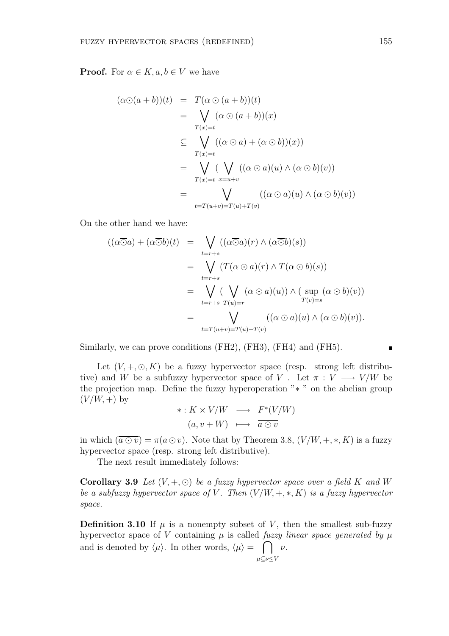**Proof.** For  $\alpha \in K$ ,  $a, b \in V$  we have

$$
(\alpha \overline{\odot} (a+b))(t) = T(\alpha \odot (a+b))(t)
$$
  
\n
$$
= \bigvee_{T(x)=t} (\alpha \odot (a+b))(x)
$$
  
\n
$$
\subseteq \bigvee_{T(x)=t} ((\alpha \odot a) + (\alpha \odot b))(x))
$$
  
\n
$$
= \bigvee_{T(x)=t} (\bigvee_{x=u+v} ((\alpha \odot a)(u) \land (\alpha \odot b)(v))
$$
  
\n
$$
= \bigvee_{t=T(u+v)=T(u)+T(v)} ((\alpha \odot a)(u) \land (\alpha \odot b)(v))
$$

On the other hand we have:

$$
((\alpha \overline{\odot} a) + (\alpha \overline{\odot} b)(t) = \bigvee_{t=r+s} ((\alpha \overline{\odot} a)(r) \wedge (\alpha \overline{\odot} b)(s))
$$
  

$$
= \bigvee_{t=r+s} (T(\alpha \odot a)(r) \wedge T(\alpha \odot b)(s))
$$
  

$$
= \bigvee_{t=r+s} (\bigvee_{T(u)=r} (\alpha \odot a)(u)) \wedge (\sup_{T(v)=s} (\alpha \odot b)(v))
$$
  

$$
= \bigvee_{t=T(u+v)=T(u)+T(v)} ((\alpha \odot a)(u) \wedge (\alpha \odot b)(v)).
$$

Similarly, we can prove conditions (FH2), (FH3), (FH4) and (FH5).

Let  $(V, +, \odot, K)$  be a fuzzy hypervector space (resp. strong left distributive) and W be a subfuzzy hypervector space of V. Let  $\pi : V \longrightarrow V/W$  be the projection map. Define the fuzzy hyperoperation "∗ " on the abelian group  $(V/W, +)$  by

$$
\ast: K \times V/W \longrightarrow F^*(V/W)
$$
  
(a, v+W)  $\longmapsto \overline{a \odot v}$ 

in which  $(\overline{a \odot v}) = \pi(a \odot v)$ . Note that by Theorem 3.8,  $(V/W, +, *, K)$  is a fuzzy hypervector space (resp. strong left distributive).

The next result immediately follows:

Corollary 3.9 Let  $(V, +, \odot)$  be a fuzzy hypervector space over a field K and W be a subfuzzy hypervector space of V. Then  $(V/W, +, *, K)$  is a fuzzy hypervector space.

**Definition 3.10** If  $\mu$  is a nonempty subset of V, then the smallest sub-fuzzy hypervector space of V containing  $\mu$  is called fuzzy linear space generated by  $\mu$ and is denoted by  $\langle \mu \rangle$ . In other words,  $\langle \mu \rangle = \int \psi$ .  $μ ⊆ν ≤ V$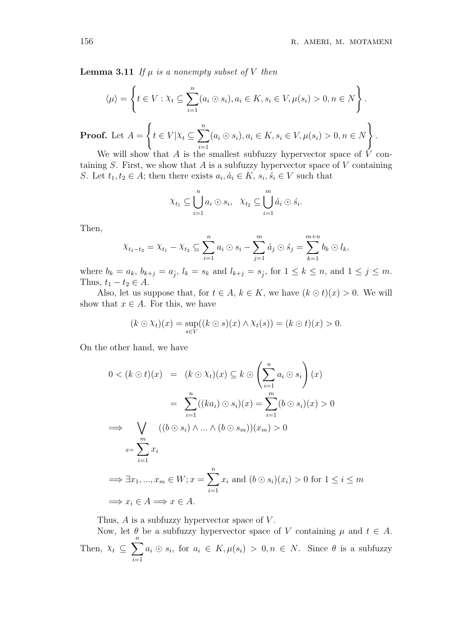**Lemma 3.11** If  $\mu$  is a nonempty subset of V then

$$
\langle \mu \rangle = \left\{ t \in V : \chi_t \subseteq \sum_{i=1}^n (a_i \odot s_i), a_i \in K, s_i \in V, \mu(s_i) > 0, n \in N \right\}.
$$

**Proof.** Let  $A =$  $t \in V | X_t \subseteq$  $\frac{n}{\sqrt{2}}$  $i=1$  $(a_i \odot s_i), a_i \in K, s_i \in V, \mu(s_i) > 0, n \in N$ .

We will show that A is the smallest subfuzzy hypervector space of  $\dot{V}$  containing  $S$ . First, we show that  $A$  is a subfuzzy hypervector space of  $V$  containing S. Let  $t_1, t_2 \in A$ ; then there exists  $a_i, \dot{a}_i \in K$ ,  $s_i, \dot{s}_i \in V$  such that

$$
\chi_{t_1} \subseteq \bigcup_{i=1}^n a_i \odot s_i, \quad \chi_{t_2} \subseteq \bigcup_{i=1}^m \dot{a}_i \odot \dot{s}_i.
$$

Then,

$$
\chi_{t_1-t_2} = \chi_{t_1} - \chi_{t_2} \subseteq \sum_{i=1}^n a_i \odot s_i - \sum_{j=1}^m \acute{a}_j \odot \acute{s}_j = \sum_{k=1}^{m+n} b_k \odot l_k,
$$

where  $b_k = a_k$ ,  $b_{k+j} = a_j$ ,  $l_k = s_k$  and  $l_{k+j} = s_j$ , for  $1 \leq k \leq n$ , and  $1 \leq j \leq m$ . Thus,  $t_1 - t_2 \in A$ .

Also, let us suppose that, for  $t \in A$ ,  $k \in K$ , we have  $(k \odot t)(x) > 0$ . We will show that  $x \in A$ . For this, we have

$$
(k \odot \chi_t)(x) = \sup_{s \in V} ((k \odot s)(x) \wedge \chi_t(s)) = (k \odot t)(x) > 0.
$$

On the other hand, we have

$$
0 < (k \odot t)(x) = (k \odot \chi_t)(x) \subseteq k \odot \left(\sum_{i=1}^n a_i \odot s_i\right)(x)
$$
\n
$$
= \sum_{i=1}^n ((ka_i) \odot s_i)(x) = \sum_{i=1}^m (b \odot s_i)(x) > 0
$$
\n
$$
\implies \bigvee_{x=1}^m ((b \odot s_i) \land \dots \land (b \odot s_m))(x_m) > 0
$$
\n
$$
x = \sum_{i=1}^m x_i
$$
\n
$$
\implies \exists x_1, \dots, x_m \in W; x = \sum_{i=1}^n x_i \text{ and } (b \odot s_i)(x_i) > 0 \text{ for } 1 \le i \le m
$$
\n
$$
\implies x_i \in A \implies x \in A.
$$

Thus,  $A$  is a subfuzzy hypervector space of  $V$ .

Now, let  $\theta$  be a subfuzzy hypervector space of V containing  $\mu$  and  $t \in A$ . Then,  $X_t \subseteq$  $\frac{n}{\sqrt{2}}$  $i=1$  $a_i \odot s_i$ , for  $a_i \in K, \mu(s_i) > 0, n \in N$ . Since  $\theta$  is a subfuzzy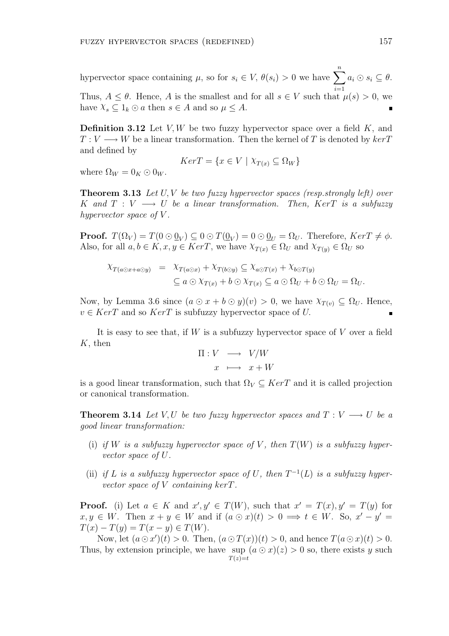hypervector space containing  $\mu$ , so for  $s_i \in V$ ,  $\theta(s_i) > 0$  we have  $\sum_{i=1}^{n} a_i \odot s_i \subseteq \theta$ .  $i=1$ Thus,  $A \leq \theta$ . Hence, A is the smallest and for all  $s \in V$  such that  $\mu(s) > 0$ , we have  $X_s \subseteq 1_k \odot a$  then  $s \in A$  and so  $\mu \leq A$ .

**Definition 3.12** Let V, W be two fuzzy hypervector space over a field K, and  $T: V \longrightarrow W$  be a linear transformation. Then the kernel of T is denoted by  $ker T$ and defined by

$$
Ker T = \{ x \in V \mid \chi_{T(x)} \subseteq \Omega_W \}
$$

where  $\Omega_W = 0_K \odot 0_W$ .

**Theorem 3.13** Let  $U, V$  be two fuzzy hypervector spaces (resp.strongly left) over K and  $T: V \longrightarrow U$  be a linear transformation. Then, KerT is a subfuzzy hypervector space of  $V$ .

**Proof.**  $T(\Omega_V) = T(0 \odot \underline{0}_V) \subseteq 0 \odot T(\underline{0}_V) = 0 \odot \underline{0}_U = \Omega_U$ . Therefore,  $KerT \neq \phi$ . Also, for all  $a, b \in K$ ,  $x, y \in Ker T$ , we have  $\chi_{T(x)} \in \Omega_U$  and  $\chi_{T(y)} \in \Omega_U$  so

$$
\begin{array}{rcl}\n\chi_{T(a\odot x+a\odot y)} & = & \chi_{T(a\odot x)} + \chi_{T(b\odot y)} \subseteq \chi_{a\odot T(x)} + \chi_{b\odot T(y)} \\
& \subseteq a \odot \chi_{T(x)} + b \odot \chi_{T(x)} \subseteq a \odot \Omega_U + b \odot \Omega_U = \Omega_U.\n\end{array}
$$

Now, by Lemma 3.6 since  $(a \odot x + b \odot y)(v) > 0$ , we have  $\chi_{T(v)} \subseteq \Omega_U$ . Hence,  $v \in Ker T$  and so  $Ker T$  is subfuzzy hypervector space of U.

It is easy to see that, if  $W$  is a subfuzzy hypervector space of  $V$  over a field  $K$ , then

$$
\Pi: V \longrightarrow V/W
$$

$$
x \longmapsto x + W
$$

is a good linear transformation, such that  $\Omega_V \subseteq Ker T$  and it is called projection or canonical transformation.

**Theorem 3.14** Let V, U be two fuzzy hypervector spaces and  $T: V \longrightarrow U$  be a good linear transformation:

- (i) if W is a subfuzzy hypervector space of V, then  $T(W)$  is a subfuzzy hypervector space of U.
- (ii) if L is a subfuzzy hypervector space of U, then  $T^{-1}(L)$  is a subfuzzy hypervector space of V containing kerT.

**Proof.** (i) Let  $a \in K$  and  $x', y' \in T(W)$ , such that  $x' = T(x), y' = T(y)$  for  $x, y \in W$ . Then  $x + y \in W$  and if  $(a \odot x)(t) > 0 \implies t \in W$ . So,  $x' - y' =$  $T(x) - T(y) = T(x - y) \in T(W).$ 

Now, let  $(a \odot x')(t) > 0$ . Then,  $(a \odot T(x))(t) > 0$ , and hence  $T(a \odot x)(t) > 0$ . Thus, by extension principle, we have sup  $(a \odot x)(z) > 0$  so, there exists y such  $T(z)=t$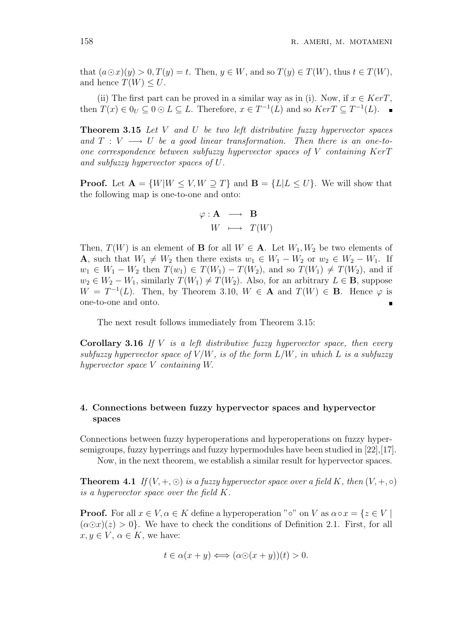that  $(a\odot x)(y) > 0, T(y) = t$ . Then,  $y \in W$ , and so  $T(y) \in T(W)$ , thus  $t \in T(W)$ , and hence  $T(W) \leq U$ .

(ii) The first part can be proved in a similar way as in (i). Now, if  $x \in \text{Ker }T$ , then  $T(x) \in 0_U \subseteq 0 \odot L \subseteq L$ . Therefore,  $x \in T^{-1}(L)$  and so  $Ker T \subseteq T^{-1}(L)$ .

**Theorem 3.15** Let V and U be two left distributive fuzzy hypervector spaces and  $T: V \longrightarrow U$  be a good linear transformation. Then there is an one-toone correspondence between subfuzzy hypervector spaces of  $V$  containing  $KerT$ and subfuzzy hypervector spaces of U.

**Proof.** Let  $A = \{W|W \leq V, W \supseteq T\}$  and  $B = \{L|L \leq U\}$ . We will show that the following map is one-to-one and onto:

$$
\begin{array}{rcl} \varphi : {\bf A} & \longrightarrow & {\bf B} \\ W & \longmapsto & T(W) \end{array}
$$

Then,  $T(W)$  is an element of **B** for all  $W \in \mathbf{A}$ . Let  $W_1, W_2$  be two elements of **A**, such that  $W_1 \neq W_2$  then there exists  $w_1 \in W_1 - W_2$  or  $w_2 \in W_2 - W_1$ . If  $w_1 \in W_1 - W_2$  then  $T(w_1) \in T(W_1) - T(W_2)$ , and so  $T(W_1) \neq T(W_2)$ , and if  $w_2 \in W_2 - W_1$ , similarly  $T(W_1) \neq T(W_2)$ . Also, for an arbitrary  $L \in \mathbf{B}$ , suppose  $W = T^{-1}(L)$ . Then, by Theorem 3.10,  $W \in \mathbf{A}$  and  $T(W) \in \mathbf{B}$ . Hence  $\varphi$  is one-to-one and onto.  $\blacksquare$ 

The next result follows immediately from Theorem 3.15:

**Corollary 3.16** If V is a left distributive fuzzy hypervector space, then every subfuzzy hypervector space of  $V/W$ , is of the form  $L/W$ , in which L is a subfuzzy hypervector space V containing W.

# 4. Connections between fuzzy hypervector spaces and hypervector spaces

Connections between fuzzy hyperoperations and hyperoperations on fuzzy hypersemigroups, fuzzy hyperrings and fuzzy hypermodules have been studied in [22],[17].

Now, in the next theorem, we establish a similar result for hypervector spaces.

**Theorem 4.1** If  $(V, +, \odot)$  is a fuzzy hypervector space over a field K, then  $(V, +, \circ)$ is a hypervector space over the field K.

**Proof.** For all  $x \in V$ ,  $\alpha \in K$  define a hyperoperation " $\circ$ " on V as  $\alpha \circ x = \{z \in V \mid$  $(\alpha \odot x)(z) > 0$ . We have to check the conditions of Definition 2.1. First, for all  $x, y \in V$ ,  $\alpha \in K$ , we have:

$$
t \in \alpha(x+y) \Longleftrightarrow (\alpha \odot (x+y))(t) > 0.
$$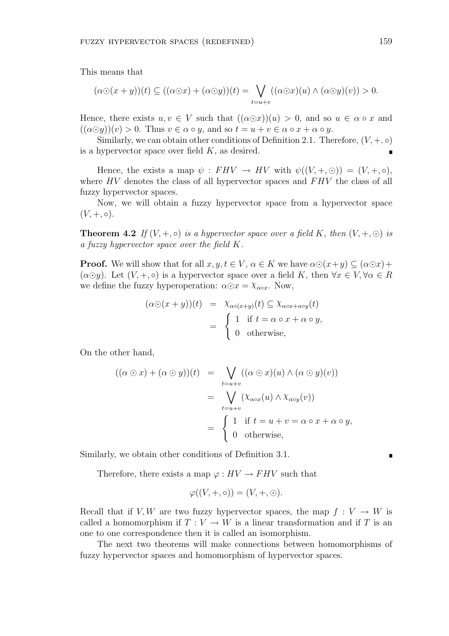This means that

$$
(\alpha \odot (x+y))(t) \subseteq ((\alpha \odot x) + (\alpha \odot y))(t) = \bigvee_{t=u+v} ((\alpha \odot x)(u) \wedge (\alpha \odot y)(v)) > 0.
$$

Hence, there exists  $u, v \in V$  such that  $((\alpha \odot x))(u) > 0$ , and so  $u \in \alpha \circ x$  and  $((\alpha \odot y))(v) > 0$ . Thus  $v \in \alpha \circ y$ , and so  $t = u + v \in \alpha \circ x + \alpha \circ y$ .

Similarly, we can obtain other conditions of Definition 2.1. Therefore,  $(V, +, \circ)$ is a hypervector space over field  $K$ , as desired.

Hence, the exists a map  $\psi : FHV \to HV$  with  $\psi((V, +, \odot)) = (V, +, \circ),$ where  $HV$  denotes the class of all hypervector spaces and  $FHV$  the class of all fuzzy hypervector spaces.

Now, we will obtain a fuzzy hypervector space from a hypervector space  $(V, +, \circ).$ 

**Theorem 4.2** If  $(V, +, \circ)$  is a hypervector space over a field K, then  $(V, +, \circ)$  is a fuzzy hypervector space over the field K.

**Proof.** We will show that for all  $x, y, t \in V$ ,  $\alpha \in K$  we have  $\alpha \odot (x+y) \subset (\alpha \odot x)+$  $(\alpha \odot y)$ . Let  $(V, +, \circ)$  is a hypervector space over a field K, then  $\forall x \in V, \forall \alpha \in R$ we define the fuzzy hyperoperation:  $\alpha \odot x = \chi_{\alpha \circ x}$ . Now,

$$
(\alpha \odot (x+y))(t) = \chi_{\alpha \circ (x+y)}(t) \subseteq \chi_{\alpha \circ x + \alpha \circ y}(t)
$$
  
= 
$$
\begin{cases} 1 & \text{if } t = \alpha \circ x + \alpha \circ y, \\ 0 & \text{otherwise,} \end{cases}
$$

On the other hand,

$$
((\alpha \odot x) + (\alpha \odot y))(t) = \bigvee_{t=u+v} ((\alpha \odot x)(u) \wedge (\alpha \odot y)(v))
$$
  
= 
$$
\bigvee_{t=u+v} (\chi_{\alpha \circ x}(u) \wedge \chi_{\alpha \circ y}(v))
$$
  
= 
$$
\begin{cases} 1 & \text{if } t = u + v = \alpha \circ x + \alpha \circ y, \\ 0 & \text{otherwise,} \end{cases}
$$

Similarly, we obtain other conditions of Definition 3.1.

Therefore, there exists a map  $\varphi: HV \to FHV$  such that

$$
\varphi((V, +, \circ)) = (V, +, \circ).
$$

Recall that if V, W are two fuzzy hypervector spaces, the map  $f: V \to W$  is called a homomorphism if  $T: V \to W$  is a linear transformation and if T is an one to one correspondence then it is called an isomorphism.

The next two theorems will make connections between homomorphisms of fuzzy hypervector spaces and homomorphism of hypervector spaces.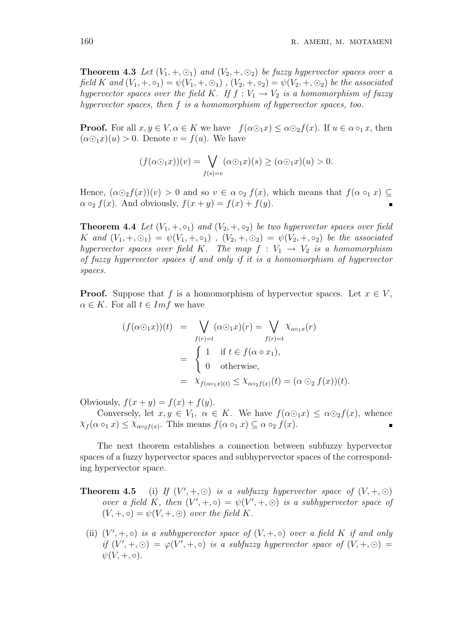**Theorem 4.3** Let  $(V_1, +, \odot_1)$  and  $(V_2, +, \odot_2)$  be fuzzy hypervector spaces over a field K and  $(V_1, +, \circ_1) = \psi(V_1, +, \circ_1)$ ,  $(V_2, +, \circ_2) = \psi(V_2, +, \circ_2)$  be the associated hypervector spaces over the field K. If  $f: V_1 \to V_2$  is a homomorphism of fuzzy hypervector spaces, then f is a homomorphism of hypervector spaces, too.

**Proof.** For all  $x, y \in V$ ,  $\alpha \in K$  we have  $f(\alpha \odot_1 x) \leq \alpha \odot_2 f(x)$ . If  $u \in \alpha \circ_1 x$ , then  $(\alpha \odot_1 x)(u) > 0$ . Denote  $v = f(u)$ . We have

$$
(f(\alpha \odot_1 x))(v) = \bigvee_{f(s)=v} (\alpha \odot_1 x)(s) \ge (\alpha \odot_1 x)(u) > 0.
$$

Hence,  $(\alpha \odot_2 f(x))(v) > 0$  and so  $v \in \alpha \circ_2 f(x)$ , which means that  $f(\alpha \circ_1 x) \subseteq$  $\alpha \circ_2 f(x)$ . And obviously,  $f(x + y) = f(x) + f(y)$ .

**Theorem 4.4** Let  $(V_1, +, \circ_1)$  and  $(V_2, +, \circ_2)$  be two hypervector spaces over field K and  $(V_1, +, \odot_1) = \psi(V_1, +, \circ_1)$ ,  $(V_2, +, \odot_2) = \psi(V_2, +, \circ_2)$  be the associated hypervector spaces over field K. The map  $f : V_1 \rightarrow V_2$  is a homomorphism of fuzzy hypervector spaces if and only if it is a homomorphism of hypervector spaces.

**Proof.** Suppose that f is a homomorphism of hypervector spaces. Let  $x \in V$ ,  $\alpha \in K$ . For all  $t \in Im f$  we have

$$
(f(\alpha \odot_1 x))(t) = \bigvee_{f(r)=t} (\alpha \odot_1 x)(r) = \bigvee_{f(r)=t} \chi_{\alpha \circ_1 x}(r)
$$
  
= 
$$
\begin{cases} 1 & \text{if } t \in f(\alpha \circ x_1), \\ 0 & \text{otherwise,} \end{cases}
$$
  
= 
$$
\chi_{f(\alpha \circ_1 x)(t)} \leq \chi_{\alpha \circ_2 f(x)}(t) = (\alpha \odot_2 f(x))(t).
$$

Obviously,  $f(x + y) = f(x) + f(y)$ .

Conversely, let  $x, y \in V_1$ ,  $\alpha \in K$ . We have  $f(\alpha \odot_1 x) \leq \alpha \odot_2 f(x)$ , whence  $\chi_f(\alpha \circ_1 x) \leq \chi_{\alpha \circ_2 f(x)}$ . This means  $f(\alpha \circ_1 x) \subseteq \alpha \circ_2 f(x)$ .

The next theorem establishes a connection between subfuzzy hypervector spaces of a fuzzy hypervector spaces and subhypervector spaces of the corresponding hypervector space.

- **Theorem 4.5** (i) If  $(V', +, \odot)$  is a subfuzzy hypervector space of  $(V, +, \odot)$ over a field K, then  $(V', +, \circ) = \psi(V', +, \circ)$  is a subhypervector space of  $(V, +, \circ) = \psi(V, +, \circ)$  over the field K.
	- (ii)  $(V', +, \circ)$  is a subhypervector space of  $(V, +, \circ)$  over a field K if and only if  $(V', +, \odot) = \varphi(V', +, \circ)$  is a subfuzzy hypervector space of  $(V, +, \odot) =$  $\psi(V, +, \circ).$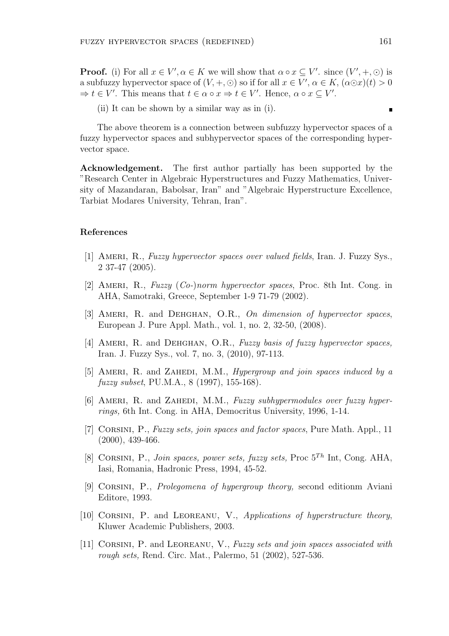**Proof.** (i) For all  $x \in V'$ ,  $\alpha \in K$  we will show that  $\alpha \circ x \subseteq V'$ . since  $(V', +, \odot)$  is a subfuzzy hypervector space of  $(V, +, \odot)$  so if for all  $x \in V'$ ,  $\alpha \in K$ ,  $(\alpha \odot x)(t) > 0$  $\Rightarrow t \in V'$ . This means that  $t \in \alpha \circ x \Rightarrow t \in V'$ . Hence,  $\alpha \circ x \subseteq V'$ .

(ii) It can be shown by a similar way as in (i).

The above theorem is a connection between subfuzzy hypervector spaces of a fuzzy hypervector spaces and subhypervector spaces of the corresponding hypervector space.

Acknowledgement. The first author partially has been supported by the "Research Center in Algebraic Hyperstructures and Fuzzy Mathematics, University of Mazandaran, Babolsar, Iran" and "Algebraic Hyperstructure Excellence, Tarbiat Modares University, Tehran, Iran".

### References

- [1] Ameri, R., Fuzzy hypervector spaces over valued fields, Iran. J. Fuzzy Sys., 2 37-47 (2005).
- [2] Ameri, R., Fuzzy (Co-)norm hypervector spaces, Proc. 8th Int. Cong. in AHA, Samotraki, Greece, September 1-9 71-79 (2002).
- [3] AMERI, R. and DEHGHAN, O.R., On dimension of hypervector spaces, European J. Pure Appl. Math., vol. 1, no. 2, 32-50, (2008).
- [4] AMERI, R. and DEHGHAN, O.R., Fuzzy basis of fuzzy hypervector spaces, Iran. J. Fuzzy Sys., vol. 7, no. 3, (2010), 97-113.
- [5] AMERI, R. and ZAHEDI, M.M., *Hypergroup and join spaces induced by a* fuzzy subset, PU.M.A., 8 (1997), 155-168).
- [6] AMERI, R. and ZAHEDI, M.M., Fuzzy subhypermodules over fuzzy hyperrings, 6th Int. Cong. in AHA, Democritus University, 1996, 1-14.
- [7] CORSINI, P., Fuzzy sets, join spaces and factor spaces, Pure Math. Appl., 11 (2000), 439-466.
- [8] CORSINI, P., Join spaces, power sets, fuzzy sets, Proc  $5^{Th}$  Int, Cong. AHA, Iasi, Romania, Hadronic Press, 1994, 45-52.
- [9] Corsini, P., Prolegomena of hypergroup theory, second editionm Aviani Editore, 1993.
- [10] CORSINI, P. and LEOREANU, V., Applications of hyperstructure theory, Kluwer Academic Publishers, 2003.
- [11] Corsini, P. and Leoreanu, V., Fuzzy sets and join spaces associated with rough sets, Rend. Circ. Mat., Palermo, 51 (2002), 527-536.

 $\blacksquare$